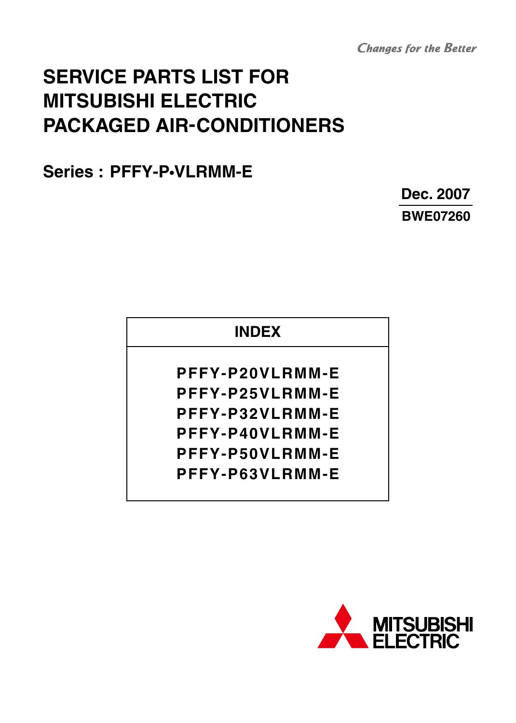**Changes for the Better** 

# **SERVICE PARTS LIST FOR MITSUBISHI ELECTRIC PACKAGED AIR-CONDITIONERS**

**Series : PFFY-P•VLRMM-E**

**Dec. 2007 BWE07260**

## **INDEX**

**PFFY-P20VLRMM-E PFFY-P25VLRMM-E PFFY-P32VLRMM-E PFFY-P40VLRMM-E PFFY-P50VLRMM-E PFFY-P63VLRMM-E**

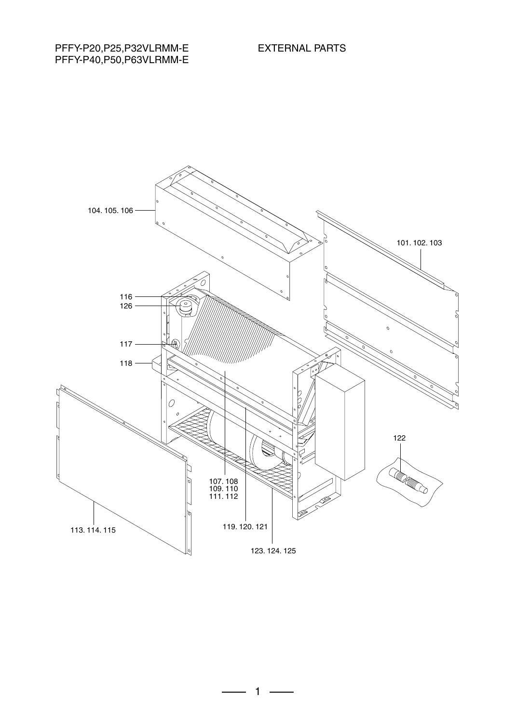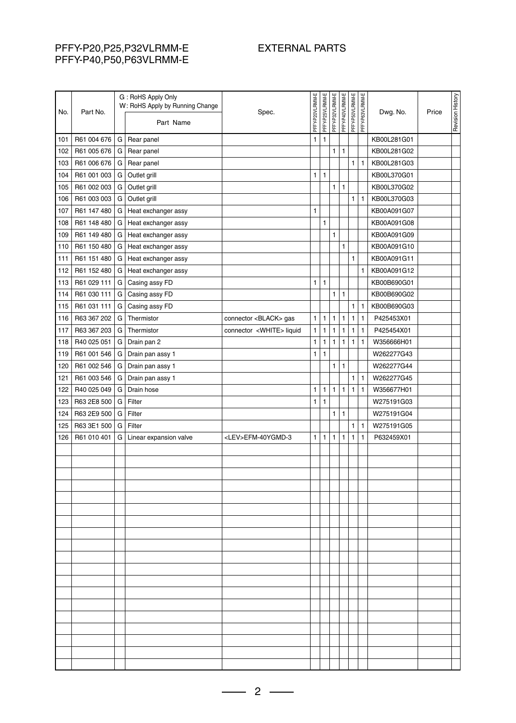#### PFFY-P20,P25,P32VLRMM-E PFFY-P40,P50,P63VLRMM-E

### EXTERNAL PARTS

| No. | Part No.    |   | G: RoHS Apply Only<br>W: RoHS Apply by Running Change<br>Part Name | Spec.                            | PFFY-P20VLRMM-E | PFFY-P25VLRMM-E | PFFY-P32VLRMM-E | PFFY-P40VLRMM-E | PFFY-P50VLRMM-E | PFFY-P63VLRMM-E | Dwg. No.    | Price | Revision History |
|-----|-------------|---|--------------------------------------------------------------------|----------------------------------|-----------------|-----------------|-----------------|-----------------|-----------------|-----------------|-------------|-------|------------------|
| 101 | R61 004 676 | G | Rear panel                                                         |                                  | 1               | $\mathbf{1}$    |                 |                 |                 |                 | KB00L281G01 |       |                  |
| 102 | R61 005 676 | G | Rear panel                                                         |                                  |                 |                 | $\mathbf{1}$    | $\mathbf{1}$    |                 |                 | KB00L281G02 |       |                  |
| 103 | R61 006 676 | G | Rear panel                                                         |                                  |                 |                 |                 |                 | 1               | 1               | KB00L281G03 |       |                  |
| 104 | R61 001 003 | G | Outlet grill                                                       |                                  | 1               | $\mathbf{1}$    |                 |                 |                 |                 | KB00L370G01 |       |                  |
| 105 | R61 002 003 | G | Outlet grill                                                       |                                  |                 |                 | 1               | $\mathbf{1}$    |                 |                 | KB00L370G02 |       |                  |
| 106 | R61 003 003 | G | Outlet grill                                                       |                                  |                 |                 |                 |                 | 1               | $\mathbf{1}$    | KB00L370G03 |       |                  |
| 107 | R61 147 480 | G | Heat exchanger assy                                                |                                  | 1               |                 |                 |                 |                 |                 | KB00A091G07 |       |                  |
| 108 | R61 148 480 | G | Heat exchanger assy                                                |                                  |                 | $\mathbf{1}$    |                 |                 |                 |                 | KB00A091G08 |       |                  |
| 109 | R61 149 480 | G | Heat exchanger assy                                                |                                  |                 |                 | 1               |                 |                 |                 | KB00A091G09 |       |                  |
| 110 | R61 150 480 | G | Heat exchanger assy                                                |                                  |                 |                 |                 | 1               |                 |                 | KB00A091G10 |       |                  |
| 111 | R61 151 480 | G | Heat exchanger assy                                                |                                  |                 |                 |                 |                 | 1               |                 | KB00A091G11 |       |                  |
| 112 | R61 152 480 | G | Heat exchanger assy                                                |                                  |                 |                 |                 |                 |                 | $\mathbf{1}$    | KB00A091G12 |       |                  |
| 113 | R61 029 111 | G | Casing assy FD                                                     |                                  | 1               | $\mathbf{1}$    |                 |                 |                 |                 | KB00B690G01 |       |                  |
| 114 | R61 030 111 | G | Casing assy FD                                                     |                                  |                 |                 | 1               | $\mathbf{1}$    |                 |                 | KB00B690G02 |       |                  |
| 115 | R61 031 111 | G | Casing assy FD                                                     |                                  |                 |                 |                 |                 | 1               | $\mathbf{1}$    | KB00B690G03 |       |                  |
| 116 | R63 367 202 | G | Thermistor                                                         | connector <black> gas</black>    | 1               | $\mathbf{1}$    | $\mathbf{1}$    | $\mathbf{1}$    | 1               | $\mathbf{1}$    | P425453X01  |       |                  |
| 117 | R63 367 203 | G | Thermistor                                                         | connector <white> liquid</white> | 1               | $\mathbf{1}$    | 1               | $\mathbf{1}$    | 1               | $\mathbf{1}$    | P425454X01  |       |                  |
| 118 | R40 025 051 | G | Drain pan 2                                                        |                                  | 1               | $\mathbf{1}$    | $\mathbf{1}$    | $\mathbf{1}$    | 1               | 1               | W356666H01  |       |                  |
| 119 | R61 001 546 | G | Drain pan assy 1                                                   |                                  | $\mathbf{1}$    | $\mathbf{1}$    |                 |                 |                 |                 | W262277G43  |       |                  |
| 120 | R61 002 546 | G | Drain pan assy 1                                                   |                                  |                 |                 | 1               | $\mathbf{1}$    |                 |                 | W262277G44  |       |                  |
| 121 | R61 003 546 | G | Drain pan assy 1                                                   |                                  |                 |                 |                 |                 | 1               | $\mathbf{1}$    | W262277G45  |       |                  |
| 122 | R40 025 049 | G | Drain hose                                                         |                                  | $\mathbf{1}$    | $\mathbf{1}$    | $\mathbf{1}$    | $\mathbf{1}$    | $\mathbf{1}$    | $\mathbf{1}$    | W356677H01  |       |                  |
| 123 | R63 2E8 500 | G | Filter                                                             |                                  | 1               | $\mathbf{1}$    |                 |                 |                 |                 | W275191G03  |       |                  |
| 124 | R63 2E9 500 | G | Filter                                                             |                                  |                 |                 | $\mathbf{1}$    | $\mathbf{1}$    |                 |                 | W275191G04  |       |                  |
| 125 | R63 3E1 500 | G | Filter                                                             |                                  |                 |                 |                 |                 | 1               | $\mathbf{1}$    | W275191G05  |       |                  |
| 126 | R61 010 401 | G | Linear expansion valve                                             | <lev>EFM-40YGMD-3</lev>          | 1               | $\mathbf{1}$    | $\mathbf{1}$    | $\mathbf{1}$    | $\mathbf{1}$    | $\mathbf{1}$    | P632459X01  |       |                  |
|     |             |   |                                                                    |                                  |                 |                 |                 |                 |                 |                 |             |       |                  |
|     |             |   |                                                                    |                                  |                 |                 |                 |                 |                 |                 |             |       |                  |
|     |             |   |                                                                    |                                  |                 |                 |                 |                 |                 |                 |             |       |                  |
|     |             |   |                                                                    |                                  |                 |                 |                 |                 |                 |                 |             |       |                  |
|     |             |   |                                                                    |                                  |                 |                 |                 |                 |                 |                 |             |       |                  |
|     |             |   |                                                                    |                                  |                 |                 |                 |                 |                 |                 |             |       |                  |
|     |             |   |                                                                    |                                  |                 |                 |                 |                 |                 |                 |             |       |                  |
|     |             |   |                                                                    |                                  |                 |                 |                 |                 |                 |                 |             |       |                  |
|     |             |   |                                                                    |                                  |                 |                 |                 |                 |                 |                 |             |       |                  |
|     |             |   |                                                                    |                                  |                 |                 |                 |                 |                 |                 |             |       |                  |
|     |             |   |                                                                    |                                  |                 |                 |                 |                 |                 |                 |             |       |                  |
|     |             |   |                                                                    |                                  |                 |                 |                 |                 |                 |                 |             |       |                  |
|     |             |   |                                                                    |                                  |                 |                 |                 |                 |                 |                 |             |       |                  |
|     |             |   |                                                                    |                                  |                 |                 |                 |                 |                 |                 |             |       |                  |
|     |             |   |                                                                    |                                  |                 |                 |                 |                 |                 |                 |             |       |                  |
|     |             |   |                                                                    |                                  |                 |                 |                 |                 |                 |                 |             |       |                  |
|     |             |   |                                                                    |                                  |                 |                 |                 |                 |                 |                 |             |       |                  |
|     |             |   |                                                                    |                                  |                 |                 |                 |                 |                 |                 |             |       |                  |
|     |             |   |                                                                    |                                  |                 |                 |                 |                 |                 |                 |             |       |                  |

 $-2$  –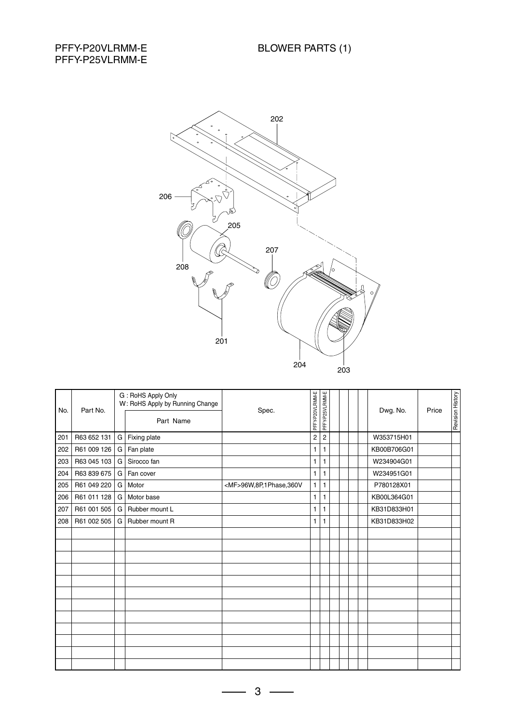#### PFFY-P20VLRMM-E PFFY-P25VLRMM-E



| No. | Part No.    |    | G: RoHS Apply Only<br>W: RoHS Apply by Running Change<br>Part Name | Spec.                       | PFFY-P20VLRMM-E         | PFFY-P25VLRMM-E |  |  | Dwg. No.    | Price | Revision History |
|-----|-------------|----|--------------------------------------------------------------------|-----------------------------|-------------------------|-----------------|--|--|-------------|-------|------------------|
| 201 | R63 652 131 |    | G   Fixing plate                                                   |                             | $\overline{\mathbf{c}}$ | $\overline{c}$  |  |  | W353715H01  |       |                  |
| 202 | R61 009 126 | G. | Fan plate                                                          |                             | 1                       | 1               |  |  | KB00B706G01 |       |                  |
| 203 | R63 045 103 | G  | Sirocco fan                                                        |                             | 1                       | 1               |  |  | W234904G01  |       |                  |
| 204 | R63 839 675 | G  | Fan cover                                                          |                             | 1                       | 1               |  |  | W234951G01  |       |                  |
| 205 | R61 049 220 | G  | Motor                                                              | <mf>96W,8P,1Phase,360V</mf> | 1                       | $\mathbf{1}$    |  |  | P780128X01  |       |                  |
| 206 | R61 011 128 | G  | Motor base                                                         |                             | $\mathbf{1}$            | $\mathbf{1}$    |  |  | KB00L364G01 |       |                  |
| 207 | R61 001 505 | G  | Rubber mount L                                                     |                             | 1                       | 1               |  |  | KB31D833H01 |       |                  |
| 208 | R61 002 505 | G  | Rubber mount R                                                     |                             | 1                       | 1               |  |  | KB31D833H02 |       |                  |
|     |             |    |                                                                    |                             |                         |                 |  |  |             |       |                  |
|     |             |    |                                                                    |                             |                         |                 |  |  |             |       |                  |
|     |             |    |                                                                    |                             |                         |                 |  |  |             |       |                  |
|     |             |    |                                                                    |                             |                         |                 |  |  |             |       |                  |
|     |             |    |                                                                    |                             |                         |                 |  |  |             |       |                  |
|     |             |    |                                                                    |                             |                         |                 |  |  |             |       |                  |
|     |             |    |                                                                    |                             |                         |                 |  |  |             |       |                  |
|     |             |    |                                                                    |                             |                         |                 |  |  |             |       |                  |
|     |             |    |                                                                    |                             |                         |                 |  |  |             |       |                  |
|     |             |    |                                                                    |                             |                         |                 |  |  |             |       |                  |
|     |             |    |                                                                    |                             |                         |                 |  |  |             |       |                  |
|     |             |    |                                                                    |                             |                         |                 |  |  |             |       |                  |

 $3 -$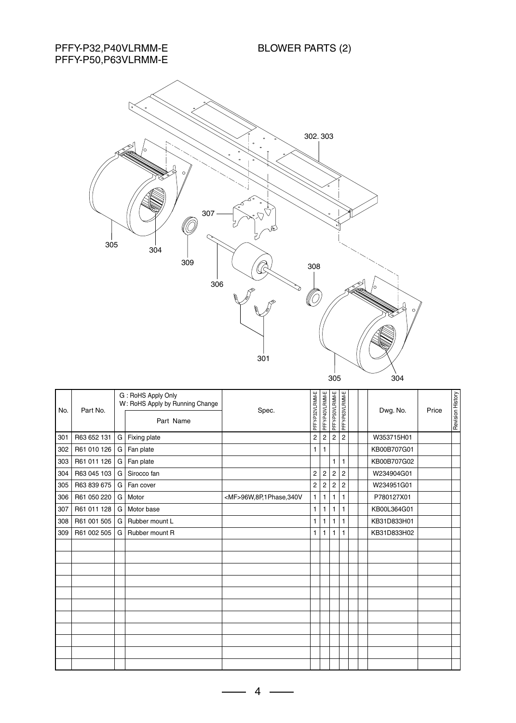BLOWER PARTS (2)

PFFY-P32,P40VLRMM-E PFFY-P50,P63VLRMM-E



| No. | Part No.    |   | G: RoHS Apply Only<br>W: RoHS Apply by Running Change<br>Part Name | Spec.                       | PFFY-P32VLRMM-E | PFFY-P40VLRMM-E | PFFY-P50VLRMM-E | PFFY-P63VLRMM-E | Dwg. No.    | Price | Revision History |
|-----|-------------|---|--------------------------------------------------------------------|-----------------------------|-----------------|-----------------|-----------------|-----------------|-------------|-------|------------------|
| 301 | R63 652 131 | G | Fixing plate                                                       |                             | $\overline{c}$  | $\overline{c}$  | $\overline{2}$  | $\overline{c}$  | W353715H01  |       |                  |
| 302 | R61 010 126 | G | Fan plate                                                          |                             | 1               | 1               |                 |                 | KB00B707G01 |       |                  |
| 303 | R61 011 126 | G | Fan plate                                                          |                             |                 |                 | $\mathbf{1}$    | 1               | KB00B707G02 |       |                  |
| 304 | R63 045 103 | G | Sirocco fan                                                        |                             | $\overline{c}$  | $\overline{c}$  | $\overline{2}$  | $\overline{2}$  | W234904G01  |       |                  |
| 305 | R63 839 675 | G | Fan cover                                                          |                             | $\sqrt{2}$      | 2               | $\overline{c}$  | $\overline{c}$  | W234951G01  |       |                  |
| 306 | R61 050 220 | G | Motor                                                              | <mf>96W,8P,1Phase,340V</mf> | 1               | 1               | 1               |                 | P780127X01  |       |                  |
| 307 | R61 011 128 | G | Motor base                                                         |                             | 1               | 1               | 1               | 1               | KB00L364G01 |       |                  |
| 308 | R61 001 505 | G | Rubber mount L                                                     |                             | 1               | 1               | $\mathbf{1}$    | 1               | KB31D833H01 |       |                  |
| 309 | R61 002 505 | G | Rubber mount R                                                     |                             | $\mathbf{1}$    | 1               | $\mathbf{1}$    | 1               | KB31D833H02 |       |                  |
|     |             |   |                                                                    |                             |                 |                 |                 |                 |             |       |                  |
|     |             |   |                                                                    |                             |                 |                 |                 |                 |             |       |                  |
|     |             |   |                                                                    |                             |                 |                 |                 |                 |             |       |                  |
|     |             |   |                                                                    |                             |                 |                 |                 |                 |             |       |                  |
|     |             |   |                                                                    |                             |                 |                 |                 |                 |             |       |                  |
|     |             |   |                                                                    |                             |                 |                 |                 |                 |             |       |                  |
|     |             |   |                                                                    |                             |                 |                 |                 |                 |             |       |                  |
|     |             |   |                                                                    |                             |                 |                 |                 |                 |             |       |                  |
|     |             |   |                                                                    |                             |                 |                 |                 |                 |             |       |                  |
|     |             |   |                                                                    |                             |                 |                 |                 |                 |             |       |                  |
|     |             |   |                                                                    |                             |                 |                 |                 |                 |             |       |                  |

 $\overline{\mathbf{4}}$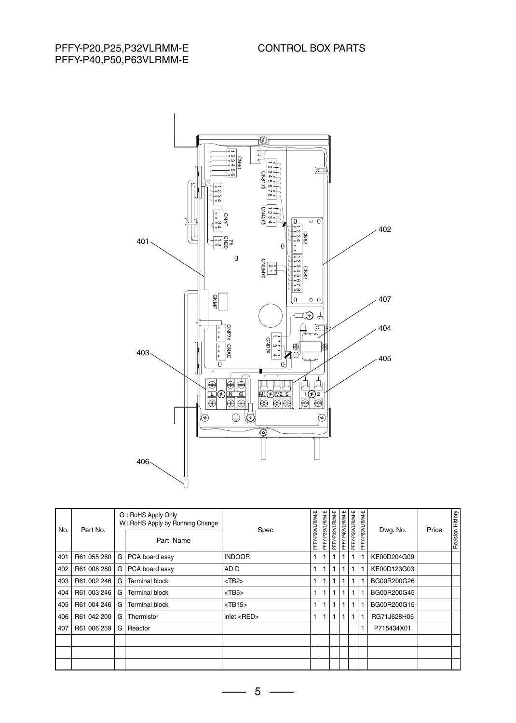PFFY-P20,P25,P32VLRMM-E PFFY-P40,P50,P63VLRMM-E



| No. | Part No.    |   | G: RoHS Apply Only<br>W: RoHS Apply by Running Change | Spec.             | PFFY-P20VLRMM-E | PFFY-P25VLRMM-E | PFFY-P32VLRMM-E | PFFY-P40VLRMM-E | PFFY-P50VLRMM-E | PFFY-P63VLRMM-E | Dwg. No.    | Price | Revision History |
|-----|-------------|---|-------------------------------------------------------|-------------------|-----------------|-----------------|-----------------|-----------------|-----------------|-----------------|-------------|-------|------------------|
|     |             |   | Part Name                                             |                   |                 |                 |                 |                 |                 |                 |             |       |                  |
| 401 | R61 055 280 | G | PCA board assy                                        | <b>INDOOR</b>     | 1               |                 | $\mathbf{1}$    | 1               | 1               | 1               | KE00D204G09 |       |                  |
| 402 | R61 008 280 | G | PCA board assy                                        | AD D              |                 |                 | 1               | 1               | 1               |                 | KE00D123G03 |       |                  |
| 403 | R61 002 246 | G | Terminal block                                        | $<$ TB2 $>$       | 1               |                 | 1               |                 | 1               |                 | BG00R200G26 |       |                  |
| 404 | R61 003 246 | G | Terminal block                                        | $<$ TB5 $>$       |                 |                 |                 |                 | 1               |                 | BG00R200G45 |       |                  |
| 405 | R61 004 246 | G | <b>Terminal block</b>                                 | $<$ TB15 $>$      | 1               |                 | $\mathbf{1}$    | 1               | 1               | 1               | BG00R200G15 |       |                  |
| 406 | R61 042 200 | G | Thermistor                                            | inlet <red></red> |                 |                 | 1               |                 | 1               |                 | RG71J628H05 |       |                  |
| 407 | R61 006 259 | G | Reactor                                               |                   |                 |                 |                 |                 |                 | 1               | P715434X01  |       |                  |
|     |             |   |                                                       |                   |                 |                 |                 |                 |                 |                 |             |       |                  |
|     |             |   |                                                       |                   |                 |                 |                 |                 |                 |                 |             |       |                  |
|     |             |   |                                                       |                   |                 |                 |                 |                 |                 |                 |             |       |                  |

 $5 -$ 

 $\overline{\phantom{0}}$